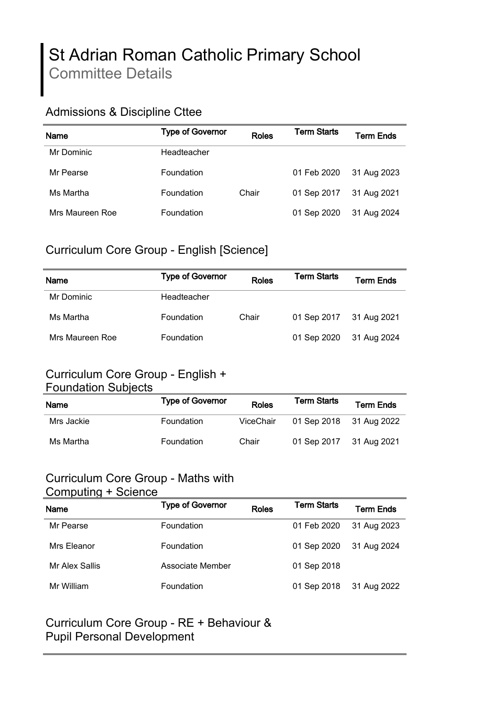# St Adrian Roman Catholic Primary School Committee Details

#### Admissions & Discipline Cttee

| Name            | <b>Type of Governor</b> | <b>Roles</b> | <b>Term Starts</b> | Term Ends   |
|-----------------|-------------------------|--------------|--------------------|-------------|
| Mr Dominic      | Headteacher             |              |                    |             |
| Mr Pearse       | <b>Foundation</b>       |              | 01 Feb 2020        | 31 Aug 2023 |
| Ms Martha       | <b>Foundation</b>       | Chair        | 01 Sep 2017        | 31 Aug 2021 |
| Mrs Maureen Roe | <b>Foundation</b>       |              | 01 Sep 2020        | 31 Aug 2024 |

#### Curriculum Core Group - English [Science]

| <b>Name</b>     | <b>Type of Governor</b> | <b>Roles</b> | Term Starts             | Term Ends   |
|-----------------|-------------------------|--------------|-------------------------|-------------|
| Mr Dominic      | Headteacher             |              |                         |             |
| Ms Martha       | <b>Foundation</b>       | Chair        | 01 Sep 2017 31 Aug 2021 |             |
| Mrs Maureen Roe | <b>Foundation</b>       |              | 01 Sep 2020             | 31 Aug 2024 |

#### Curriculum Core Group - English + Foundation Subjects

| <u>i odinadilon odbjočko</u> |                         |           |                    |                  |
|------------------------------|-------------------------|-----------|--------------------|------------------|
| <b>Name</b>                  | <b>Type of Governor</b> | Roles     | <b>Term Starts</b> | <b>Term Ends</b> |
| Mrs Jackie                   | Foundation              | ViceChair | 01 Sep 2018        | 31 Aug 2022      |
| Ms Martha                    | Foundation              | Chair     | 01 Sep 2017        | 31 Aug 2021      |

#### Curriculum Core Group - Maths with Computing + Science

| <b>POILIPULITY · POICHOC</b> |                         |              |                    |                  |
|------------------------------|-------------------------|--------------|--------------------|------------------|
| Name                         | <b>Type of Governor</b> | <b>Roles</b> | <b>Term Starts</b> | <b>Term Ends</b> |
| Mr Pearse                    | Foundation              |              | 01 Feb 2020        | 31 Aug 2023      |
| Mrs Eleanor                  | Foundation              |              | 01 Sep 2020        | 31 Aug 2024      |
| Mr Alex Sallis               | Associate Member        |              | 01 Sep 2018        |                  |
| Mr William                   | Foundation              |              | 01 Sep 2018        | 31 Aug 2022      |

#### Curriculum Core Group - RE + Behaviour & Pupil Personal Development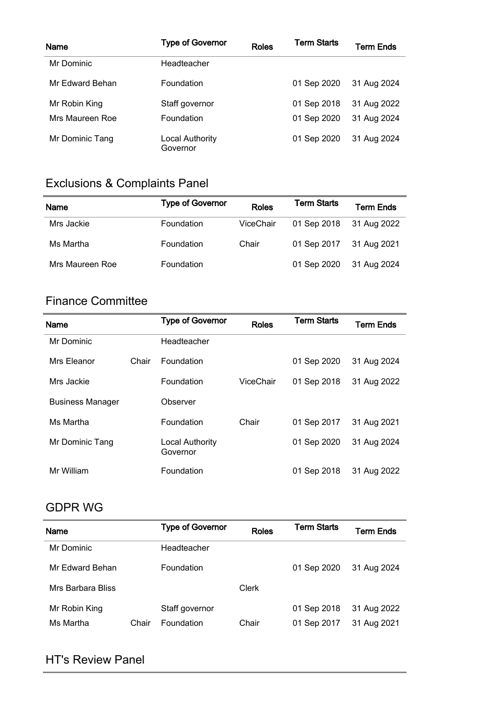| <b>Name</b>     | <b>Type of Governor</b>     | <b>Roles</b> | <b>Term Starts</b> | <b>Term Ends</b> |
|-----------------|-----------------------------|--------------|--------------------|------------------|
| Mr Dominic      | Headteacher                 |              |                    |                  |
| Mr Edward Behan | <b>Foundation</b>           |              | 01 Sep 2020        | 31 Aug 2024      |
| Mr Robin King   | Staff governor              |              | 01 Sep 2018        | 31 Aug 2022      |
| Mrs Maureen Roe | <b>Foundation</b>           |              | 01 Sep 2020        | 31 Aug 2024      |
| Mr Dominic Tang | Local Authority<br>Governor |              | 01 Sep 2020        | 31 Aug 2024      |

# Exclusions & Complaints Panel

| Name            | <b>Type of Governor</b> | <b>Roles</b> | <b>Term Starts</b> | Term Ends   |
|-----------------|-------------------------|--------------|--------------------|-------------|
| Mrs Jackie      | <b>Foundation</b>       | ViceChair    | 01 Sep 2018        | 31 Aug 2022 |
| Ms Martha       | <b>Foundation</b>       | Chair        | 01 Sep 2017        | 31 Aug 2021 |
| Mrs Maureen Roe | Foundation              |              | 01 Sep 2020        | 31 Aug 2024 |

#### Finance Committee

| <b>Name</b>             |       | <b>Type of Governor</b>     | <b>Roles</b> | <b>Term Starts</b> | <b>Term Ends</b> |
|-------------------------|-------|-----------------------------|--------------|--------------------|------------------|
| Mr Dominic              |       | Headteacher                 |              |                    |                  |
| Mrs Eleanor             | Chair | <b>Foundation</b>           |              | 01 Sep 2020        | 31 Aug 2024      |
| Mrs Jackie              |       | Foundation                  | ViceChair    | 01 Sep 2018        | 31 Aug 2022      |
| <b>Business Manager</b> |       | Observer                    |              |                    |                  |
| Ms Martha               |       | Foundation                  | Chair        | 01 Sep 2017        | 31 Aug 2021      |
| Mr Dominic Tang         |       | Local Authority<br>Governor |              | 01 Sep 2020        | 31 Aug 2024      |
| Mr William              |       | Foundation                  |              | 01 Sep 2018        | 31 Aug 2022      |

#### GDPR WG

| Name              |       | <b>Type of Governor</b> | Roles | <b>Term Starts</b> | Term Ends   |
|-------------------|-------|-------------------------|-------|--------------------|-------------|
| Mr Dominic        |       | Headteacher             |       |                    |             |
| Mr Edward Behan   |       | <b>Foundation</b>       |       | 01 Sep 2020        | 31 Aug 2024 |
| Mrs Barbara Bliss |       |                         | Clerk |                    |             |
| Mr Robin King     |       | Staff governor          |       | 01 Sep 2018        | 31 Aug 2022 |
| Ms Martha         | Chair | <b>Foundation</b>       | Chair | 01 Sep 2017        | 31 Aug 2021 |

#### HT's Review Panel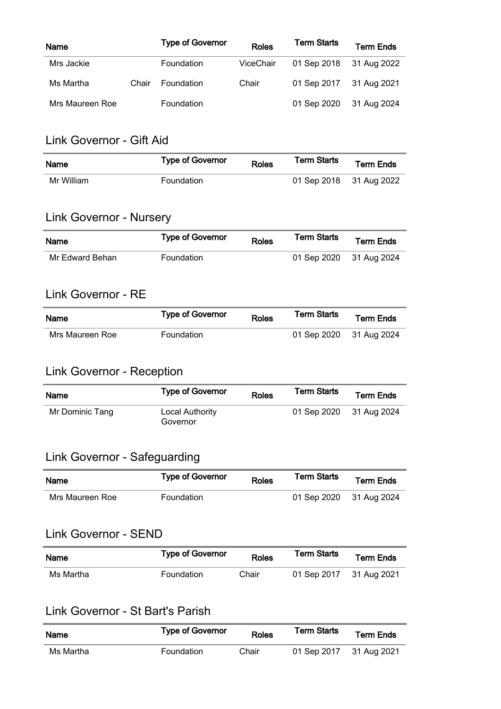| Name            |       | <b>Type of Governor</b> | <b>Roles</b> | <b>Term Starts</b> | <b>Term Ends</b> |
|-----------------|-------|-------------------------|--------------|--------------------|------------------|
| Mrs Jackie      |       | <b>Foundation</b>       | ViceChair    | 01 Sep 2018        | 31 Aug 2022      |
| Ms Martha       | Chair | <b>Foundation</b>       | Chair        | 01 Sep 2017        | 31 Aug 2021      |
| Mrs Maureen Roe |       | Foundation              |              | 01 Sep 2020        | 31 Aug 2024      |

#### Link Governor - Gift Aid

| Name       | <b>Type of Governor</b> | <b>Roles</b> | <b>Term Starts</b>      | <b>Term Ends</b> |
|------------|-------------------------|--------------|-------------------------|------------------|
| Mr William | Foundation              |              | 01 Sep 2018 31 Aug 2022 |                  |

## Link Governor - Nursery

| Name            | <b>Type of Governor</b> | <b>Roles</b> | Term Starts             | <b>Term Ends</b> |
|-----------------|-------------------------|--------------|-------------------------|------------------|
| Mr Edward Behan | <b>Foundation</b>       |              | 01 Sep 2020 31 Aug 2024 |                  |

#### Link Governor - RE

| <b>Name</b>     | <b>Type of Governor</b> | <b>Roles</b> | Term Starts             | <b>Term Ends</b> |
|-----------------|-------------------------|--------------|-------------------------|------------------|
| Mrs Maureen Roe | <b>Foundation</b>       |              | 01 Sep 2020 31 Aug 2024 |                  |

# Link Governor - Reception

| Name            | <b>Type of Governor</b>     | <b>Roles</b> | <b>Term Starts</b>      | <b>Term Ends</b> |
|-----------------|-----------------------------|--------------|-------------------------|------------------|
| Mr Dominic Tang | Local Authority<br>Governor |              | 01 Sep 2020 31 Aug 2024 |                  |

# Link Governor - Safeguarding

| Name            | <b>Type of Governor</b> | <b>Roles</b> | <b>Term Starts</b>      | <b>Term Ends</b> |
|-----------------|-------------------------|--------------|-------------------------|------------------|
| Mrs Maureen Roe | <b>Foundation</b>       |              | 01 Sep 2020 31 Aug 2024 |                  |

#### Link Governor - SEND

| <b>Name</b> | <b>Type of Governor</b> | <b>Roles</b> | <b>Term Starts</b>      | <b>Term Ends</b> |
|-------------|-------------------------|--------------|-------------------------|------------------|
| Ms Martha   | <b>Foundation</b>       | Chair        | 01 Sep 2017 31 Aug 2021 |                  |

## Link Governor - St Bart's Parish

| Name      | <b>Type of Governor</b> | <b>Roles</b> | <b>Term Starts</b>      | <b>Term Ends</b> |
|-----------|-------------------------|--------------|-------------------------|------------------|
| Ms Martha | <b>Foundation</b>       | Chair        | 01 Sep 2017 31 Aug 2021 |                  |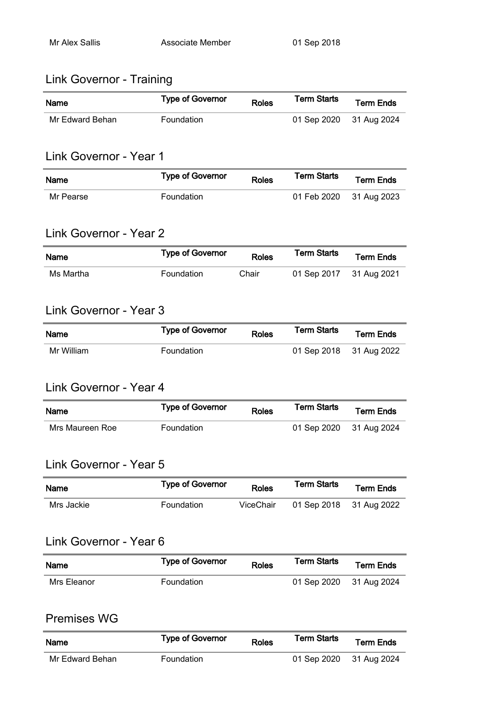#### Link Governor - Training

| <b>Name</b>     | <b>Type of Governor</b> | <b>Roles</b> | <b>Term Starts</b>      | <b>Term Ends</b> |
|-----------------|-------------------------|--------------|-------------------------|------------------|
| Mr Edward Behan | <b>Foundation</b>       |              | 01 Sep 2020 31 Aug 2024 |                  |

#### Link Governor - Year 1

| <b>Name</b> | <b>Type of Governor</b> | <b>Roles</b> | <b>Term Starts</b>      | <b>Term Ends</b> |
|-------------|-------------------------|--------------|-------------------------|------------------|
| Mr Pearse   | <b>Foundation</b>       |              | 01 Feb 2020 31 Aug 2023 |                  |

#### Link Governor - Year 2

| <b>Name</b> | <b>Type of Governor</b> | <b>Roles</b> | <b>Term Starts</b>      | <b>Term Ends</b> |
|-------------|-------------------------|--------------|-------------------------|------------------|
| Ms Martha   | Foundation              | Chair        | 01 Sep 2017 31 Aug 2021 |                  |

#### Link Governor - Year 3

| <b>Name</b> | <b>Type of Governor</b> | <b>Roles</b> | Term Starts             | <b>Term Ends</b> |
|-------------|-------------------------|--------------|-------------------------|------------------|
| Mr William  | Foundation              |              | 01 Sep 2018 31 Aug 2022 |                  |

#### Link Governor - Year 4

| <b>Name</b>     | <b>Type of Governor</b> | <b>Roles</b> | <b>Term Starts</b>      | <b>Term Ends</b> |
|-----------------|-------------------------|--------------|-------------------------|------------------|
| Mrs Maureen Roe | <b>Foundation</b>       |              | 01 Sep 2020 31 Aug 2024 |                  |

#### Link Governor - Year 5

| <b>Name</b> | <b>Type of Governor</b> | <b>Roles</b> | <b>Term Starts</b>      | <b>Term Ends</b> |
|-------------|-------------------------|--------------|-------------------------|------------------|
| Mrs Jackie  | Foundation              | ViceChair    | 01 Sep 2018 31 Aug 2022 |                  |

#### Link Governor - Year 6

| <b>Name</b> | <b>Type of Governor</b> | <b>Roles</b> | <b>Term Starts</b>      | <b>Term Ends</b> |
|-------------|-------------------------|--------------|-------------------------|------------------|
| Mrs Eleanor | Foundation              |              | 01 Sep 2020 31 Aug 2024 |                  |

#### Premises WG

| Name            | <b>Type of Governor</b> | <b>Roles</b> | Term Starts             | <b>Term Ends</b> |
|-----------------|-------------------------|--------------|-------------------------|------------------|
| Mr Edward Behan | <b>Foundation</b>       |              | 01 Sep 2020 31 Aug 2024 |                  |